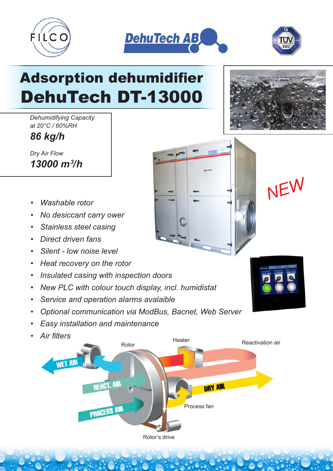



13000



## Adsorption dehumidifier DehuTech DT-13000

*Dehumidifying Capacity at 20°C / 60%RH*

*86 kg/h*

*Dry Air Flow 13000 m3 /h*

- *Washable rotor*
- *No desiccant carry ower*
- *Stainless steel casing*
- *Direct driven fans*
- *Silent low noise level*
- *Heat recovery on the rotor*
- *Insulated casing with inspection doors*
- *New PLC with colour touch display, incl. humidistat*
- *Service and operation alarms avalaible*
- *Optional communication via ModBus, Bacnet, Web Server*
- *Easy installation and maintenance*
- *Air filters*







*NEW*